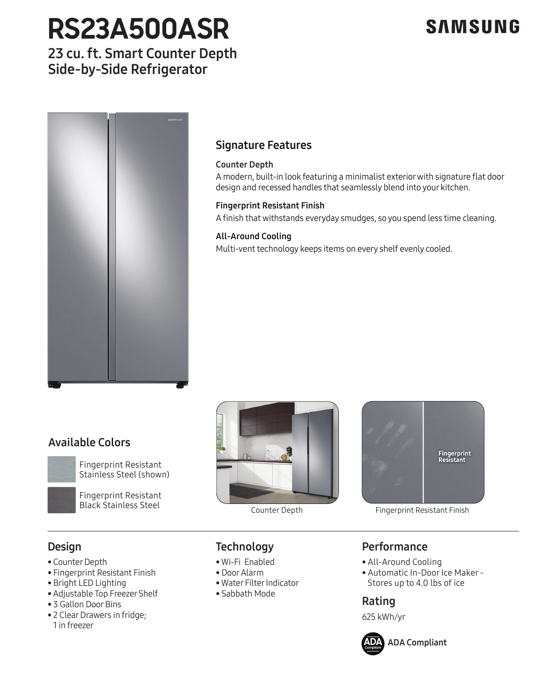# **RS23A500ASR**

## **SAMSUNG**

## 23 cu. ft. Smart Counter Depth Side-by-Side Refrigerator



## Signature Features

### Counter Depth

A modern, built-in look featuring a minimalist exterior with signature flat door design and recessed handles that seamlessly blend into your kitchen.

### Fingerprint Resistant Finish

A finish that withstands everyday smudges, so you spend less time cleaning.

### All-Around Cooling

Multi-vent technology keeps items on every shelf evenly cooled.

## Available Colors



Fingerprint Resistant Stainless Steel (shown)

Black Stainless Steel<br>Black Stainless Steel Counter De Fingerprint Resistant





Counter Depth Fingerprint Resistant Finish

## Design

- Counter Depth
- Fingerprint Resistant Finish
- Bright LED Lighting
- Adjustable Top Freezer Shelf
- 3 Gallon Door Bins
- 3 Gatton Door Bins<br>• 2 Clear Drawers in fridge;<br>1 in freezer 1 in freezer

# **Technology**

- Wi-Fi Enabled
- Door Alarm
- Water Filter Indicator Stainless Platinum
	- Sabbath Mode

## Performance

- All-Around Cooling
- Automatic In-Door Ice Maker Stores up to 4.0 lbs of ice

## Rating

625 kWh/yr



**ADA** ADA Compliant **Compliant**